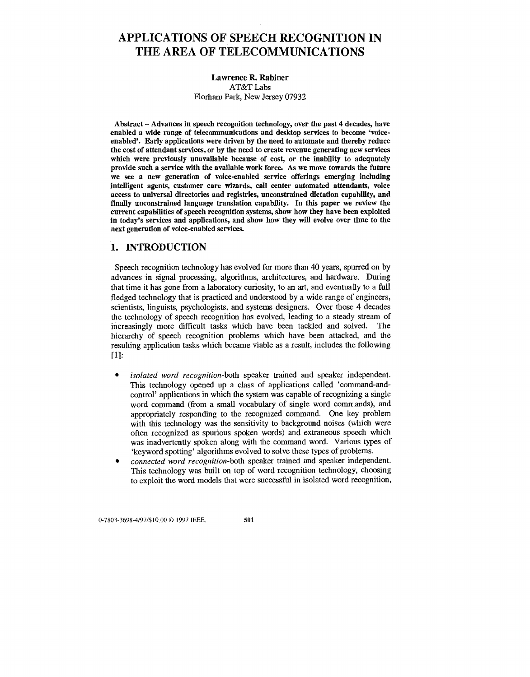# APPLICATIONS **OF** SPEECH RECOGNITION IN THE AREA OF TELECOMMUNICATIONS

#### **Lawrence R. Rabiner**  AT&T Labs Florham Park, New Jersey 07932

Abstract - Advances in speech recognition technology, over the past **4** decades, have enabled a wide range **of** telecommunications and desktop services to become 'voiceenabled'. Early applications were driven by the need to automate and thereby reduce the cost of attendant services, or by the need to create revenue generating new services which were previously unavailable because of cost, or the inability to adequately provide such a service **with** the available work force. As we move towards the future we see a new generation of voice-enabled service offerings emerging including intelligent agents, customer care wizards, call center automated attendants, voice access to universal directories and registries, unconstrained dictation capability, and finally unconstrained language translation capability. **In this** paper we review the current capabilities of speech recognition systems, show how they have been exploited **in** today's services and applications, and show how they **will** evolve over time to the next generation **of** voice-enabled services.

## **1.** INTRODUCTION

Speech recognition technology has evolved for more than 40 years, spurred on by advances in signal processing, algorithms, architectures, and hardware. During that time it **has** gone from a laboratory curiosity, to an art, and eventually to a full fledged technology that is practiced and understood by a wide range of engineers, scientists, linguists, psychologists, and systems designers. Over those **4** decades the technology of speech recognition has evolved, leading to a steady stream of increasingly more difficult asks which have been tackled and solved. The hierarchy of speech recognition problems which have been attacked, and the resulting application tasks which became viable as a result, includes **the** following  $[1]$ :

- isolated word recognition-both speaker trained and speaker independent.  $\bullet$ This technology opened up a class of applications called 'command-andcontrol' applications **in** which the system was capable of recognizing a single word command (from a small vocabulary of single word commands), and appropriately responding to the recognized command. One key problem with this technology was the sensitivity to background noises (which were often recognized as spurious spoken words) and extraneous speech which was inadvertently spoken along with the command word. Various types of 'keyword spotting' algorithms evolved to solve these types of problems.
- comected word recognition,-both speaker trained and speaker independent. This technology was built on top of word recognition technology, choosing to exploit the word models that were successful in isolated word recognition,

0-7803-3698-4/97/\$10.00 *0* 1997 IEEE. **501**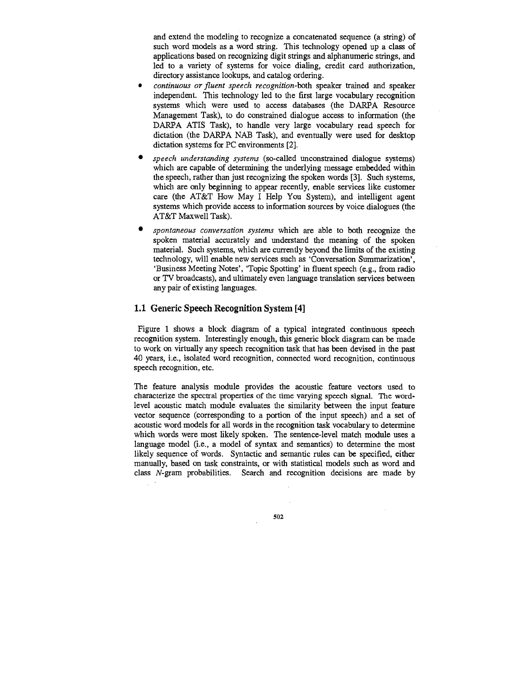and extend the modeling to recognize a concatenated sequence **(a** string) of such word models as a word string. This technology opened up a class of applications based on recognizing digit strings and alphanumeric strings, and led to a variety of systems for voice dialing, credit card authorization, directory assistance lookups, and catalog ordering.

- $\bullet$ continuous or fluent speech recognition-both speaker trained and speaker independent. This technology led to the first large vocabulary recognition systems which were used to access databases (the DARPA Resource Management Task), to do constrained dialogue access to information (the DARPA ATIS Task), to handle very large vocabulary read speech for dictation (the DARPA NAB Task), and eventually were used for desktop dictation systems for PC environments [2].
- **a**  speech understanding systems (so-called unconstrained dialogue systems) which are capable of determining the underlying message embedded within the speech, rather than just recognizing the spoken words **[3].** Such systems, which are only beginning to appear recently, enable services like customer care (the AT&T How May I Help You System), and intelligent agent systems which provide access to information sources by voice dialogues (the AT&T Maxwell Task).
- **e**  spontaneous conversation systems which are able to both recognize the spoken material accurately and understand the meaning of the spoken material. Such systems, which are currently beyond the limits of the existing technology, will enable new services such as 'Conversation Summarization', 'Business Meeting Notes', 'Topic Spotting' in fluent speech (e.g., ftom radio or TV broadcasts), and ultimately even language translation services between any pair of existing languages.

# **1.1 Generic Speech Recognition System [4]**

Figure 1 shows a block diagram of a typical integrated continuous speech recognition system. Interestingly enough, this generic block diagram can be made to work on virtually any speech recognition **task** that has been devised in the past 40 years, Le., isolated word recognition, connected word recognition, continuous speech recognition, etc.

The feature analysis module provides the acoustic feature vectors used to characterize the spectral properties of the time varying speech signal. **The** wordlevel acoustic match module evaluates the similarity between the input feature vector sequence (corresponding to a portion of the input speech) and a set of acoustic word models for all words in the recognition task vocabulary to determine which words were most likely spoken. The sentence-level match module uses a language model (i.e., a model of syntax and semantics) to determine the most likely sequence of words. Syntactic and semantic rules can be specified, either manually, based on task constraints, or with statistical models such as word and class N-gram probabilities. Search and recognition decisions are made by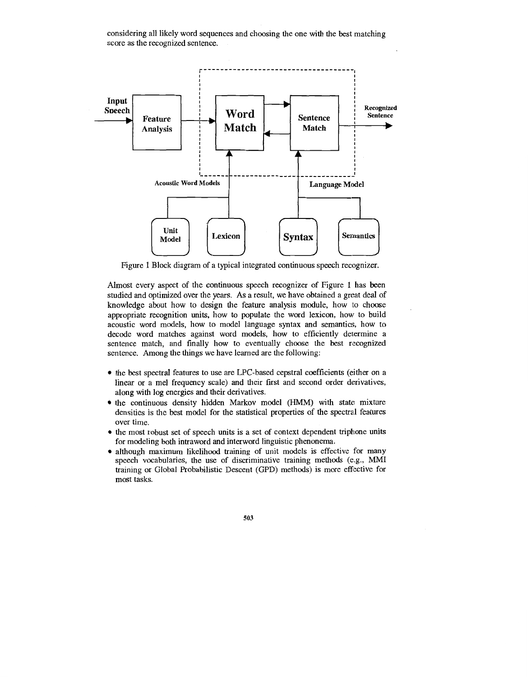considering all likely word sequences and choosing the one with the best matching score **as** the recognized sentence.



Figure **1** Block diagram of a typical integrated continuous speech recognizer.

Almost every aspect of the continuous speech recognizer of Figure **1 has** been studied and optimized over the years. **As a** result, we have obtained a great deal of knowledge about how to design the feature analysis module, how to choose appropriate recognition units, how to populate the word lexicon, **how** to build acoustic word models, how to model language syntax and semantics, how to decode word matches against word models, how to efficiently determine **a**  sentence match, and finally how to eventually choose the best recognized sentence. Among the things we have learned are the following:

- the best spectral features to use are LPC-based cepstral coefficients (either on **a**  linear or **a** me1 frequency scale) and their first and second order derivatives, along with log energies and their derivatives.
- the continuous density hidden Markov model (HMM) with state mixture densities is the best model for the statistical properties of the spectral features over time.
- the most robust set of speech units is a set of context dependent triphone units for modeling both intraword and interword linguistic phenonema.
- although maximum likelihood training of unit models **is** effective for **many**  speech vocabularies, the use of discriminative training methods (e.g., MMI training or Global Probabilistic Descent (GPD) methods) is more effective for most tasks.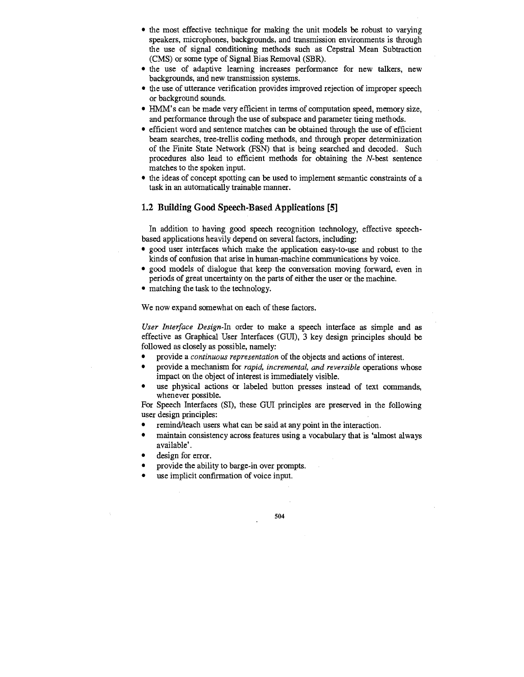- the most effective technique for making the unit models be robust to varying  $\bullet$ speakers, microphones, backgrounds, and transmission environments is through the use of signal conditioning methods such as Cepstral Mean Subtraction (CMS) or some type of Signal Bias Removal (SBR).
- the use of adaptive learning increases performance for new talkers, new backgrounds, and new transmission systems.
- *<sup>0</sup>*the use of utterance verification provides improved rejection of improper speech or background sounds.
- HMM's can be made very efficient in terms of computation speed, memory size, and performance through the use of subspace and parameter tieing methods.
- efficient word and sentence matches can be obtained through the use of efficient beam searches, tree-trellis coding methods, and through proper determinization of the Finite State Network (FSN) that is being searched and decoded. Such procedures also lead to efficient methods for obtaining the N-best sentence matches to the spoken input.
- the ideas of concept spotting can be used to implement semantic constraints of a task in an automatically trainable manner.

#### **1.2 Building Good Speech-Based Applications [5]**

In addition to having good speech recognition technology, effective speechbased applications heavily depend on several factors, including:

- good user interfaces which make the application easy-to-use and robust to the kinds of confusion that arise in human-machine communications by voice.
- good models of dialogue that keep the conversation moving forward, even in periods of great uncertainty on the parts of either the user or the machine.
- matching the task to the technology.

We now expand somewhat on each of these factors.

User Interface Design-In order to make a speech interface as simple and as effective as Graphical User Interfaces (GUI), **3** key design principles should be followed **as** closely as possible, namely:

- provide a *continuous representation* of the objects and actions of interest.
- provide a mechanism for *rapid, incremental, and reversible* operations whose impact *on* the object of interest is immediately visible.
- use physical actions or labeled button presses instead of text commands, whenever possible.

For Speech Interfaces (SI), these GUI principles are preserved in the following user design principles:

- remind/teach users what can be said at any point in the interaction.
- maintain consistency across features using a vocabulary that is 'almost always available'.
- design for error.
- provide the ability to barge-in over prompts.
- use implicit confirmation of voice input.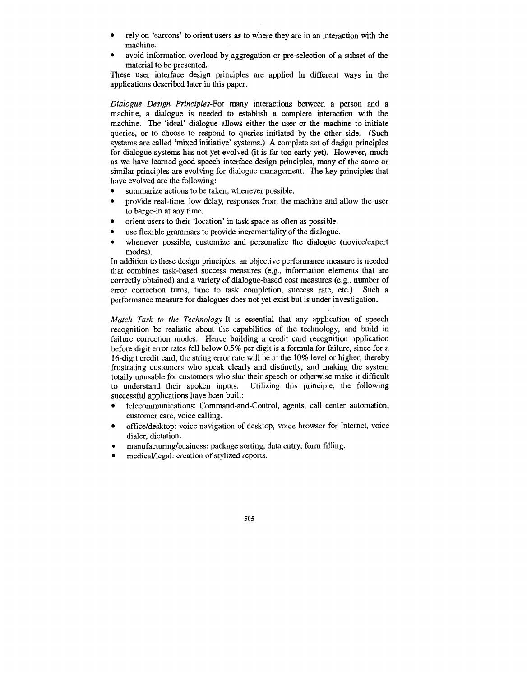- rely on 'earcons' to orient users as to where they are in an interaction with the machine.
- *<sup>0</sup>*avoid information overload by aggregation or pre-selection of a subset **of** the material to be presented.

These user interface design principles are applied in different ways in the applications described later in this paper.

*Dialogue Design. Principles-For* many interactions between a person and a machine, a dialogue **is** needed to establish a complete interaction with the machine. The 'ideal' dialogue allows either the user or the machine to initiate queries, or to choose to respond to queries initiated by the other side. (Such systems are called 'mixed initiative' systems.) **A** complete set of design principles for dialogue systems has not yet evolved (it **is** far too early yet). However, much as we have learned good speech interface design principles, many of the same or similar principles are evolving for dialogue management. The key principles that have evolved are the following:

- summarize actions to be taken, whenever possible.
- provide real-time, low delay, responses from the machine and allow the user to barge-in at any time.
- orient users to their 'location' in task space as often **as** possible.
- *<sup>0</sup>*use flexible grammars to provide incrementality of the dialogue.
- whenever possible, customize and personalize the dialogue (novice/expert modes).

In addition to these design principles, **an** objective performance measure is needed that combines task-based success measures (e.g., information elements that are correctly obtained) and a variety of dialogue-based cost measures (e.g., number of error correction turns, time to task completion, success rate, etc.) Such a performance measure for dialogues does not yet exist but is under investigation.

Match *Task to the* Technology-It is essential that any application of speech recognition be realistic about the capabilities of the technology, and build in failure correction modes. Hence building a credit card recognition application before digit error rates fell below 0.5% per digit is a formula for failure, since for a 16-digit credit card, the string error rate will be at the 10% level or higher, thereby frustrating customers who speak clearly and distinctly, and making the system totally unusable for customers who **slur** their speech or otherwise make it difficult to understand their spoken inputs. Utilizing this principle, the following successful applications have been built:

- telecommunications: Command-and-Control, agents, call center automation, customer care, voice calling.
- office/desktop: voice navigation of desktop, voice browser for Internet, voice dialer, dictation.
- manufacturing/business: package sorting, data entry, form filling.
- **medical/legal: creation** of stylized **reports.**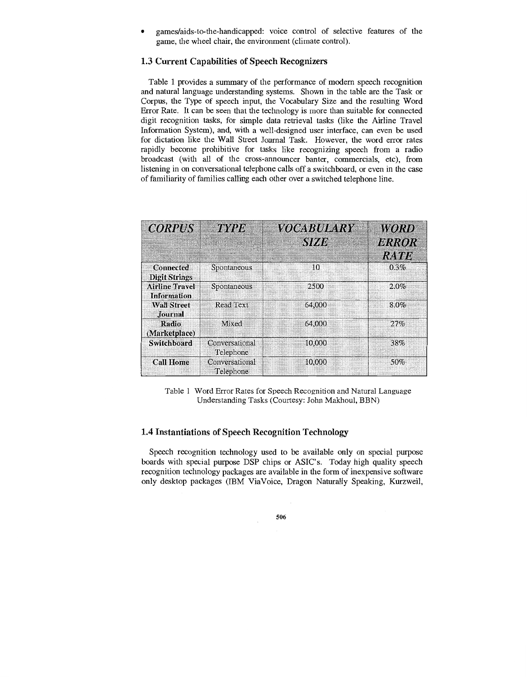games/aids-to-the-handicapped: voice control of selective features of the game, the wheel chair, the environment (climate control).

#### **1.3 Current Capabilities of Speech Recognizers**

Table 1 provides a summary of the performance of modern speech recognition and natural language understanding systems. Shown in the table are the Task or Corpus, the Type of speech input, the Vocabulary Size and the resulting Word Error Rate. It can be seen that the technology is more than suitable for connected digit recognition tasks, for simple data retrieval tasks (like the Airline Travel Information System), and, with a well-designed user interface, can even be used for dictation like the Wall Street Journal Task. However, the word error rates rapidly become prohibitive for tasks like recognizing speech from a radio broadcast (with all of the cross-announcer banter, commercials, etc), from listening in an conversational telephone calls off a switchboard, or even in the case of familiarity of families calling each other over a switched telephone line.

| <b>CORPUS</b>                        | 19799                       | VOCABULARY<br>SWAD | WORD.<br><b>ERROR</b><br><b>RATE</b> |
|--------------------------------------|-----------------------------|--------------------|--------------------------------------|
| Connected<br><b>Digit Strings</b>    | <b>Spontaneous</b>          | 10                 | 0.3%                                 |
| <b>Airline Travel</b><br>Information | Spontaneous                 | 2500               | 2.0%                                 |
| <b>Wall Street</b><br>Journal        | Read Text                   | 64,000             | $8.0\%$                              |
| <b>Radio</b><br>(Marketplace)        | Mixed                       | 64,000             | 27%                                  |
| Switchboard                          | Conversational<br>Telephone | 10,000             | 38%                                  |
| <b>Call Home</b>                     | Conversational<br>Telephone | 10,000             | 50%                                  |

Table 1 Word Error Rates for Speech Recognition and Natural Language Understanding Tasks (Courtesy: John Makhoul, BBN)

#### **1.4 Instantiations of Speech Recognition Technology**

Speech recognition technology used to be available only on special purpose boards with special purpose DSP chips or **ASIC's.** Today high quality speech recognition technology packages are available in the form of inexpensive software only desktop packages (IBM ViaVoice, Dragon Naturally Speaking, Kurzweil,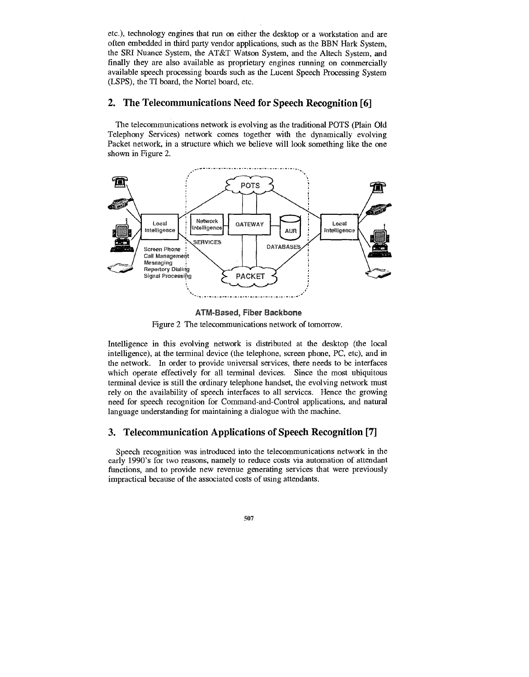etc.), technology engines that run on either the desktop or a workstation and are often embedded in third party vendor applications, such as the BBN Hark System, the SRI Nuance System, the AT&T Watson System, and the Altech System, and finally they are also available **as** proprietary engines running on commercially available speech processing boards such as the Lucent Speech Processing System (LSPS), the TI board, the Nortel board, etc.

## **2. The Telecommunications Need for Speech Recognition [6]**

The telecommunications network is evolving as the traditional POTS (Plain Old Telephony Services) network comes together wilh the dynamically evolving Packet network, in a structure which we believe will look something like the one shown in Figure 2.



ATM-Based, Fiber Backbone

Figure 2 The telecommunications network of tomorrow.

Intelligence in this evolving network is distributed at the desktop (the local intelligence), at the terminal device (the telephone, screen phone, PC, etc), and in the network. In order to provide universal services, there needs to be interfaces which operate effectively for all terminal devices. Since the most ubiquitous terminal device **is** still the ordinary telephone handset, the evolving network must rely on the availability of speech interfaces to all services. Hence the growing need for speech recognition for Command-and-Control applications, and natural language understanding for maintaining a dialogue with the machine.

### **3. Telecommunication Applications of Speech Recognition [7l**

Speech recognition was introduced into the telecommunications network in the early 1990's for two reasons, namely to reduce costs via automation **of** attendant functions, and to provide new revenue generating services that were previously impractical because of the associated costs of using attendants.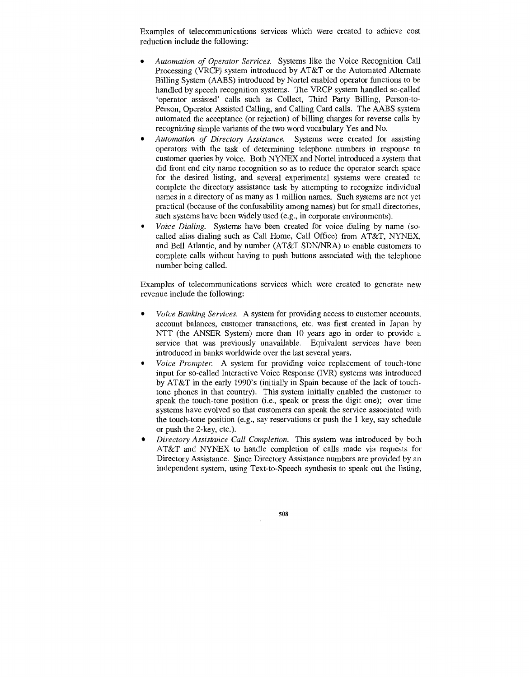Examples of telecommunications services which were created to achieve cost reduction include the following:

- *Automation. of Operator Services.* Systems like the Voice Recognition Call Processing (VRCP) system introduced by AT&T or the Automated Alternate Billing System **(AABS)** introduced by Nortel enabled operator functions to be handled by speech recognition systems. The **VRCP** system handled so-called 'operator assisted' calls such as Collect, Third Party Billing, Person-to-Person, Operator Assisted Calling, and Calling Card calls. The **AABS** system automated the acceptance (or rejection) of billing charges for reverse calls by recognizing simple variants of the two word vocabulary Yes and No.
- Automation of Directory Assistance. Systems were created for assisting operators with the task of determining telephone numbers in response to customer queries by voice. Both NYNEX and Nortel introduced a system that did front end city name recognition so as to reduce the operator search space for the desired listing, and several experimental systems were created to complete the directory assistance task by attempting to recognize individual names in a directory of **as** many as 1 million names. Such systems are not yet practical (because of the confusability among names) but for small directories, such systems have been widely used (e.g., in corporate environments).
- *Voice Dialing.* Systems have been created for voice dialing by name *(so*called alias dialing such as Call Home, Call Office) from AT&T, NYNEX, and Bell Atlantic, and by number (AT&T SDN/NRA) to enable customers to complete calls without having to push buttons associated with the telephone number being called.

Examples of telecommunications services which were created to generate new revenue include the following:

- *Voice Banking Services.* A system for providing access to customer accounts, account balances, customer transactions, etc. was first created in Japan by NTT (the ANSER System) more than 10 years ago in order to provide a service that was previously unavailable. Equivalent services have been introduced in banks worldwide over the last several years.
- *Voice Prompter.* A system for providing voice replacement of touch-tone input for so-called Interactive Voice Response (IVR) systems **was** introduced by AT&T in the early 1990's (initially in Spain because of the lack of touchtone phones in that country). This system initially enabled the customer to speak the touch-tone position (i.e., speak or press **the** digit one); over time systems have evolved so that customers can speak the service associated with the touch-tone position (e.g., say reservations or push the 1-key, say schedule or push the 2-key, etc.).
- *Directory Assistance Call Completion*. This system was introduced by both AT&T and NYNEX to handle completion of calls made via requests for Directory Assistance. Since Directory Assistance numbers are provided by an independent system, using Text-to-Speech synthesis to speak out the listing,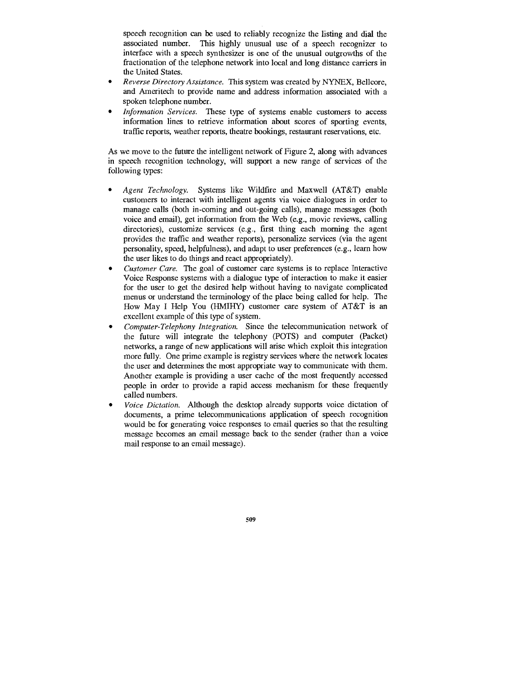speech recognition can be used to reliably recognize the listing and dial the associated number. This highly unusual use of a speech recognizer to interface with a speech synthesizer is one of the unusual outgrowths of the fractionation of the telephone network into local and long distance carriers **in**  the United States.

- *Reverse Directory Assistance.* This system was created by NYNEX:, Bellcore, and Ameritech to provide name and address information associated with **a**  spoken telephone number.
- *Information Services.* These type of systems enable customers to access information lines to retrieve information about scores of sporting events, traffic reports, weather reports, theatre bookings, restaurant reservations, etc.

As we move to the future the intelligent network of Figure 2, along with advances in speech recognition technology, will support **a** new range of services of the following types:

- Agent Technology. Systems like Wildfire and Maxwell (AT&T) enable customers to interact with intelligent agents via voice dialogues in order to manage calls (both in-coming and out-going calls), manage mesaages (both voice and email), get information from the Web (eg, movie reviews, calling directories), customize services (e.g., first hing each morning the agent provides the traffic and weather reports), personalize services (via the agent personality, speed, helpfulness), and adapt to user preferences (e.g., learn how the user likes to do things and react appropriately).
- *Customer Cure.* The goal of customer care systems is to replace Interactive  $\bullet$ Voice Response systems with a dialogue type of interaction to make it easier for the user to get the desired help without having to navigate complicated menus or understand the terminology of the place being called for ihelp. The How May **I** Help You (HMIHY) customer care system of AT&T is **an**  excellent example of this type of system.
- *Computer-Telephony Integration.* Since the telecommunication network of the future will integrate the telephony (POTS) and computer (Packet) networks, a range of new applications will arise which exploit this integration more fully. One prime example is registry services where the network locates the user and determines the most appropriate way to communicate with them. Another example is providing a user cache of the most frequently accessed people in order to provide a rapid access mechanism for these frequently called numbers.
- *Voice Dictation.* Although the desktop already supports voice dictation of documents, a prime telecommunications application of speech recognition would be for generating voice responses to email queries so that the resulting message becomes **an** email message back to the sender (rather **than** a voice mail response to an email message).